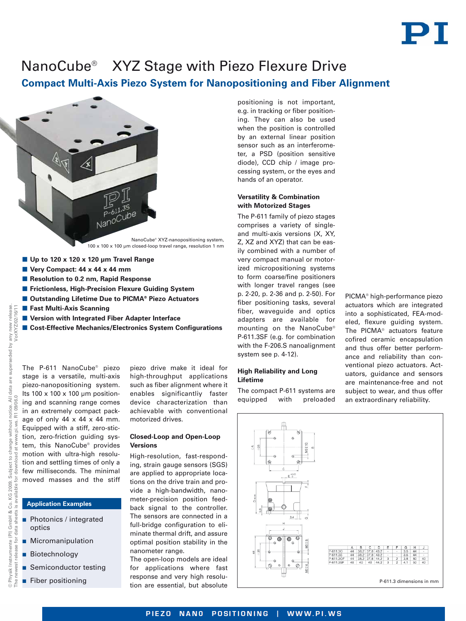# PT

## NanoCube® XYZ Stage with Piezo Flexure Drive

### **Compact Multi-Axis Piezo System for Nanopositioning and Fiber Alignment**



- Up to 120 x 120 x 120 µm Travel Range
- Very Compact: 44 x 44 x 44 mm
- Resolution to 0.2 nm, Rapid Response
- **E** Frictionless, High-Precision Flexure Guiding System
- Outstanding Lifetime Due to PICMA® Piezo Actuators
- **E** Fast Multi-Axis Scanning
- **E** Version with Integrated Fiber Adapter Interface
- Cost-Effective Mechanics/Electronics System Configurations

All data are superseded by any new release<br>06.0 The P-611 NanoCube® piezo stage is a versatile, multi-axis piezo-nanopositioning system. Its  $100 \times 100 \times 100$  um position-The newest release for data sheets is available for download at [www.pi.ws.](http://www.pi.ws) R1 09/06.0 ing and scanning range comes in an extremely compact package of only  $44 \times 44 \times 44$  mm. Equipped with a stiff, zero-stiction, zero-friction guiding system, this NanoCube® provides motion with ultra-high resoludownload tion and settling times of only a few milliseconds. The minimal for moved masses and the stiff (PI) GmbH & Co. KG 2009.<br>Ir data sheets is available fo

© Physik Instrumente (PI) GmbH & Co. KG 2009. Subject to change without notice. All data are superseded by any new release.

Subject to change

for data

Physik Instrumente west release

without www.pi.ws.

notice. All d<br>R1 09/06.0

VorXYZ/02/16/11

#### **Application Examples**

- - Photonics / integrated optics
- **Micromanipulation**
- **Biotechnology**
- **B** Semiconductor testing
- **Fiber positioning**

piezo drive make it ideal for high-throughput applications such as fiber alignment where it enables significantliy faster device characterization than achievable with conventional motorized drives.

#### **Closed-Loop and Open-Loop Versions**

High-resolution, fast-responding, strain gauge sensors (SGS) are applied to appropriate locations on the drive train and provide a high-bandwidth, nanometer-precision position feedback signal to the controller. The sensors are connected in a full-bridge configuration to eliminate thermal drift, and assure optimal position stability in the nanometer range.

The open-loop models are ideal for applications where fast response and very high resolution are essential, but absolute

positioning is not important, e.g. in tracking or fiber positioning. They can also be used when the position is controlled by an external linear position sensor such as an interferometer, a PSD (position sensitive diode), CCD chip / image processing system, or the eyes and hands of an operator.

#### **Versatility & Combination with Motorized Stages**

The P-611 family of piezo stages comprises a variety of singleand multi-axis versions (X, XY, Z, XZ and XYZ) that can be easily combined with a number of very compact manual or motorized micropositioning systems to form coarse/fine positioners with longer travel ranges (see p. 2-20, p. 2-36 and p. 2-50). For fiber positioning tasks, several fiber, waveguide and optics adapters are available for mounting on the NanoCube® P-611.3SF (e.g. for combination with the F-206.S nanoalignment system see p. 4-12).

#### **High Reliability and Long Lifetime**

The compact P-611 systems are equipped with preloaded

PICMA® high-performance piezo actuators which are integrated into a sophisticated, FEA-modeled, flexure guiding system. The PICMA® actuators feature cofired ceramic encapsulation and thus offer better performance and reliability than conventional piezo actuators. Actuators, guidance and sensors are maintenance-free and not subject to wear, and thus offer an extraordinary reliability.



PIEZO NANO POSITIONING | WWW.PI.WS